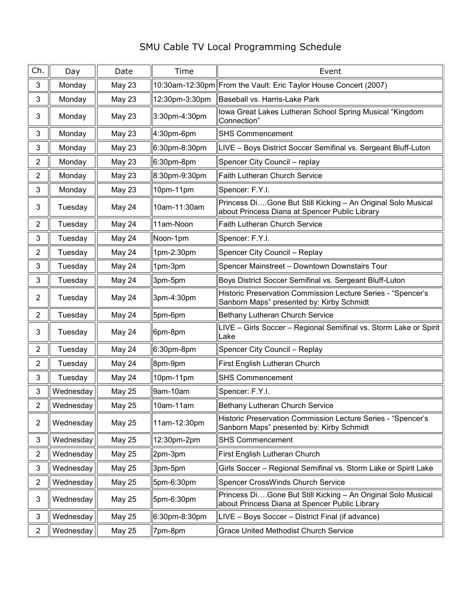## SMU Cable TV Local Programming Schedule

| Ch.            | Day       | Date          | Time           | Event                                                                                                          |
|----------------|-----------|---------------|----------------|----------------------------------------------------------------------------------------------------------------|
| 3              | Monday    | May 23        |                | 10:30am-12:30pm From the Vault: Eric Taylor House Concert (2007)                                               |
| 3              | Monday    | May 23        | 12:30pm-3:30pm | Baseball vs. Harris-Lake Park                                                                                  |
| 3              | Monday    | May 23        | 3:30pm-4:30pm  | lowa Great Lakes Lutheran School Spring Musical "Kingdom<br>Connection"                                        |
| 3              | Monday    | May 23        | 4:30pm-6pm     | <b>SHS Commencement</b>                                                                                        |
| 3              | Monday    | May 23        | 6:30pm-8:30pm  | LIVE – Boys District Soccer Semifinal vs. Sergeant Bluff-Luton                                                 |
| $\overline{2}$ | Monday    | May 23        | 6:30pm-8pm     | Spencer City Council - replay                                                                                  |
| $\overline{2}$ | Monday    | May 23        | 8:30pm-9:30pm  | Faith Lutheran Church Service                                                                                  |
| 3              | Monday    | May 23        | 10pm-11pm      | Spencer: F.Y.I.                                                                                                |
| 3              | Tuesday   | May 24        | 10am-11:30am   | Princess DiGone But Still Kicking - An Original Solo Musical<br>about Princess Diana at Spencer Public Library |
| $\overline{2}$ | Tuesday   | May 24        | 11am-Noon      | <b>Faith Lutheran Church Service</b>                                                                           |
| 3              | Tuesday   | May 24        | Noon-1pm       | Spencer: F.Y.I.                                                                                                |
| $\overline{2}$ | Tuesday   | May 24        | 1pm-2:30pm     | Spencer City Council - Replay                                                                                  |
| 3              | Tuesday   | May 24        | 1pm-3pm        | Spencer Mainstreet - Downtown Downstairs Tour                                                                  |
| 3              | Tuesday   | May 24        | 3pm-5pm        | Boys District Soccer Semifinal vs. Sergeant Bluff-Luton                                                        |
| $\overline{2}$ | Tuesday   | May 24        | 3pm-4:30pm     | Historic Preservation Commission Lecture Series - "Spencer's<br>Sanborn Maps" presented by: Kirby Schmidt      |
| $\overline{2}$ | Tuesday   | May 24        | 5pm-6pm        | Bethany Lutheran Church Service                                                                                |
| 3              | Tuesday   | May 24        | 6pm-8pm        | LIVE - Girls Soccer - Regional Semifinal vs. Storm Lake or Spirit<br>Lake                                      |
| $\overline{2}$ | Tuesday   | May 24        | 6:30pm-8pm     | Spencer City Council - Replay                                                                                  |
| $\overline{2}$ | Tuesday   | May 24        | 8pm-9pm        | First English Lutheran Church                                                                                  |
| 3              | Tuesday   | May 24        | 10pm-11pm      | <b>SHS Commencement</b>                                                                                        |
| 3              | Wednesday | <b>May 25</b> | 9am-10am       | Spencer: F.Y.I.                                                                                                |
| 2              | Wednesday | May 25        | 10am-11am      | Bethany Lutheran Church Service                                                                                |
| $\overline{2}$ | Wednesday | <b>May 25</b> | 11am-12:30pm   | Historic Preservation Commission Lecture Series - "Spencer's<br>Sanborn Maps" presented by: Kirby Schmidt      |
| 3              | Wednesday | <b>May 25</b> | 12:30pm-2pm    | <b>SHS Commencement</b>                                                                                        |
| $\overline{2}$ | Wednesday | <b>May 25</b> | 2pm-3pm        | First English Lutheran Church                                                                                  |
| 3              | Wednesday | <b>May 25</b> | 3pm-5pm        | Girls Soccer - Regional Semifinal vs. Storm Lake or Spirit Lake                                                |
| 2              | Wednesday | <b>May 25</b> | 5pm-6:30pm     | Spencer CrossWinds Church Service                                                                              |
| 3              | Wednesday | <b>May 25</b> | 5pm-6:30pm     | Princess DiGone But Still Kicking - An Original Solo Musical<br>about Princess Diana at Spencer Public Library |
| 3              | Wednesday | <b>May 25</b> | 6:30pm-8:30pm  | LIVE – Boys Soccer – District Final (if advance)                                                               |
| $\overline{2}$ | Wednesday | <b>May 25</b> | 7pm-8pm        | <b>Grace United Methodist Church Service</b>                                                                   |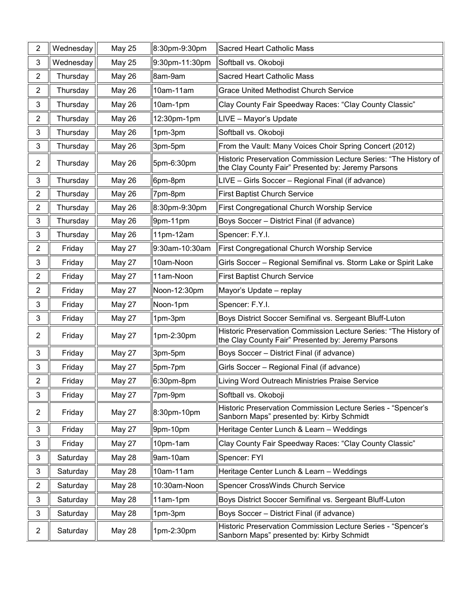| $\overline{2}$   | Wednesday | <b>May 25</b> | 8:30pm-9:30pm  | Sacred Heart Catholic Mass                                                                                             |
|------------------|-----------|---------------|----------------|------------------------------------------------------------------------------------------------------------------------|
| 3                | Wednesday | <b>May 25</b> | 9:30pm-11:30pm | Softball vs. Okoboji                                                                                                   |
| $\overline{2}$   | Thursday  | May 26        | 8am-9am        | <b>Sacred Heart Catholic Mass</b>                                                                                      |
| $\overline{2}$   | Thursday  | May 26        | 10am-11am      | <b>Grace United Methodist Church Service</b>                                                                           |
| 3                | Thursday  | May 26        | 10am-1pm       | Clay County Fair Speedway Races: "Clay County Classic"                                                                 |
| $\boldsymbol{2}$ | Thursday  | May 26        | 12:30pm-1pm    | LIVE - Mayor's Update                                                                                                  |
| 3                | Thursday  | <b>May 26</b> | 1pm-3pm        | Softball vs. Okoboji                                                                                                   |
| $\mathbf{3}$     | Thursday  | May 26        | 3pm-5pm        | From the Vault: Many Voices Choir Spring Concert (2012)                                                                |
| $\overline{2}$   | Thursday  | May 26        | 5pm-6:30pm     | Historic Preservation Commission Lecture Series: "The History of<br>the Clay County Fair" Presented by: Jeremy Parsons |
| 3                | Thursday  | May 26        | 6pm-8pm        | LIVE - Girls Soccer - Regional Final (if advance)                                                                      |
| $\overline{2}$   | Thursday  | May 26        | 7pm-8pm        | <b>First Baptist Church Service</b>                                                                                    |
| $\overline{2}$   | Thursday  | May 26        | 8:30pm-9:30pm  | First Congregational Church Worship Service                                                                            |
| 3                | Thursday  | May 26        | 9pm-11pm       | Boys Soccer - District Final (if advance)                                                                              |
| 3                | Thursday  | <b>May 26</b> | 11pm-12am      | Spencer: F.Y.I.                                                                                                        |
| $\overline{2}$   | Friday    | May 27        | 9:30am-10:30am | <b>First Congregational Church Worship Service</b>                                                                     |
| 3                | Friday    | May 27        | 10am-Noon      | Girls Soccer - Regional Semifinal vs. Storm Lake or Spirit Lake                                                        |
| $\overline{2}$   | Friday    | May 27        | 11am-Noon      | <b>First Baptist Church Service</b>                                                                                    |
| $\overline{2}$   | Friday    | May 27        | Noon-12:30pm   | Mayor's Update - replay                                                                                                |
| 3                | Friday    | May 27        | Noon-1pm       | Spencer: F.Y.I.                                                                                                        |
| 3                | Friday    | May 27        | 1pm-3pm        | Boys District Soccer Semifinal vs. Sergeant Bluff-Luton                                                                |
| $\overline{2}$   | Friday    | May 27        | 1pm-2:30pm     | Historic Preservation Commission Lecture Series: "The History of<br>the Clay County Fair" Presented by: Jeremy Parsons |
| 3                | Friday    | May 27        | 3pm-5pm        | Boys Soccer - District Final (if advance)                                                                              |
| 3                | Friday    | May 27        | 5pm-7pm        | Girls Soccer - Regional Final (if advance)                                                                             |
| 2                | Friday    | May 27        | 6:30pm-8pm     | Living Word Outreach Ministries Praise Service                                                                         |
| 3                | Friday    | May 27        | 7pm-9pm        | Softball vs. Okoboji                                                                                                   |
| $\overline{2}$   | Friday    | May 27        | 8:30pm-10pm    | Historic Preservation Commission Lecture Series - "Spencer's<br>Sanborn Maps" presented by: Kirby Schmidt              |
| 3                | Friday    | May 27        | 9pm-10pm       | Heritage Center Lunch & Learn - Weddings                                                                               |
| 3                | Friday    | May 27        | 10pm-1am       | Clay County Fair Speedway Races: "Clay County Classic"                                                                 |
| 3                | Saturday  | May 28        | 9am-10am       | Spencer: FYI                                                                                                           |
| 3                | Saturday  | May 28        | 10am-11am      | Heritage Center Lunch & Learn - Weddings                                                                               |
| $\overline{2}$   | Saturday  | May 28        | 10:30am-Noon   | Spencer CrossWinds Church Service                                                                                      |
| 3                | Saturday  | May 28        | 11am-1pm       | Boys District Soccer Semifinal vs. Sergeant Bluff-Luton                                                                |
| 3                | Saturday  | May 28        | 1pm-3pm        | Boys Soccer - District Final (if advance)                                                                              |
| $\overline{2}$   | Saturday  | May 28        | 1pm-2:30pm     | Historic Preservation Commission Lecture Series - "Spencer's<br>Sanborn Maps" presented by: Kirby Schmidt              |